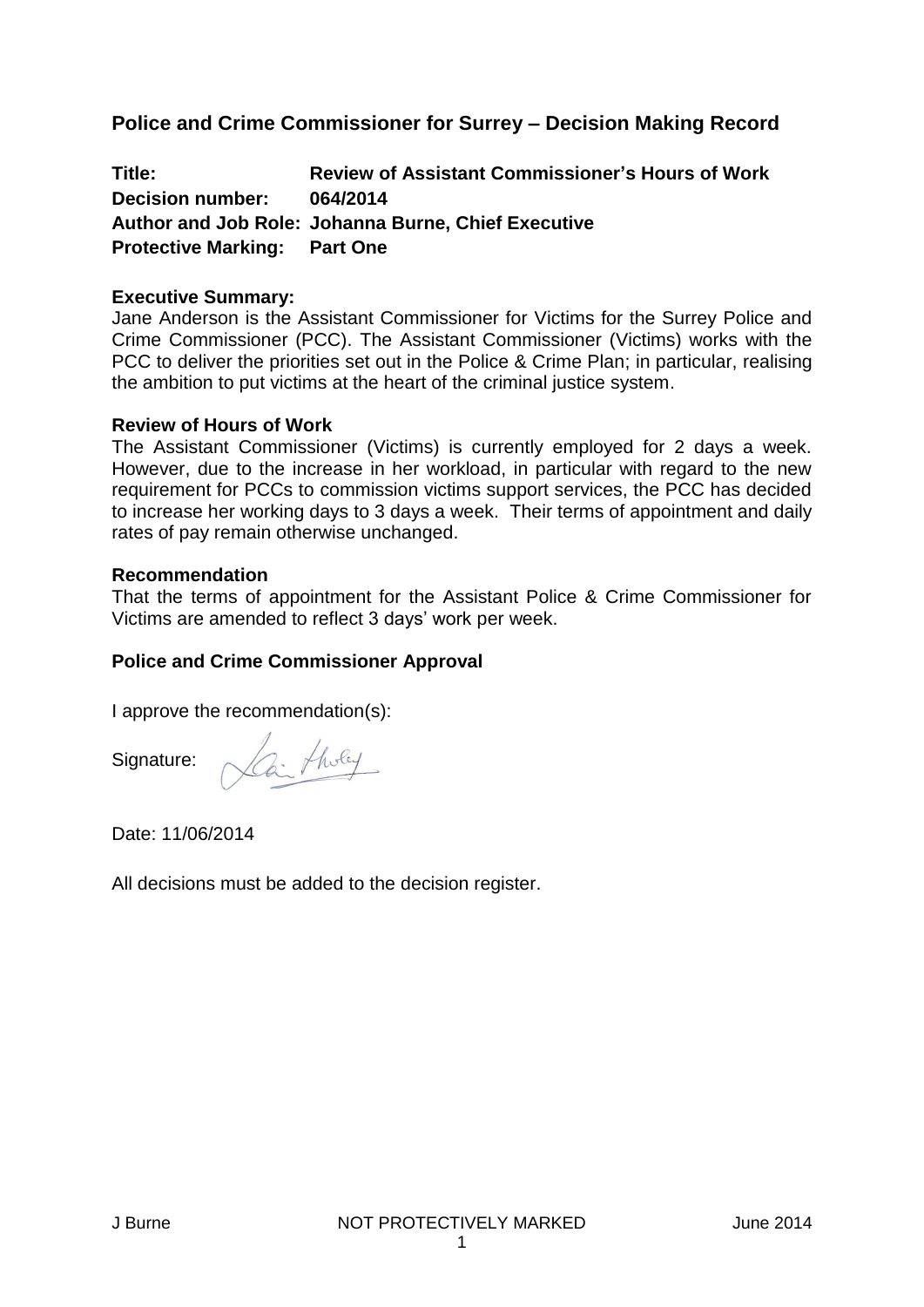## **Police and Crime Commissioner for Surrey – Decision Making Record**

**Title: Review of Assistant Commissioner's Hours of Work Decision number: 064/2014 Author and Job Role: Johanna Burne, Chief Executive Protective Marking: Part One**

#### **Executive Summary:**

Jane Anderson is the Assistant Commissioner for Victims for the Surrey Police and Crime Commissioner (PCC). The Assistant Commissioner (Victims) works with the PCC to deliver the priorities set out in the Police & Crime Plan; in particular, realising the ambition to put victims at the heart of the criminal justice system.

#### **Review of Hours of Work**

The Assistant Commissioner (Victims) is currently employed for 2 days a week. However, due to the increase in her workload, in particular with regard to the new requirement for PCCs to commission victims support services, the PCC has decided to increase her working days to 3 days a week. Their terms of appointment and daily rates of pay remain otherwise unchanged.

#### **Recommendation**

That the terms of appointment for the Assistant Police & Crime Commissioner for Victims are amended to reflect 3 days' work per week.

#### **Police and Crime Commissioner Approval**

I approve the recommendation(s):

Signature:

3. Tholey

Date: 11/06/2014

All decisions must be added to the decision register.